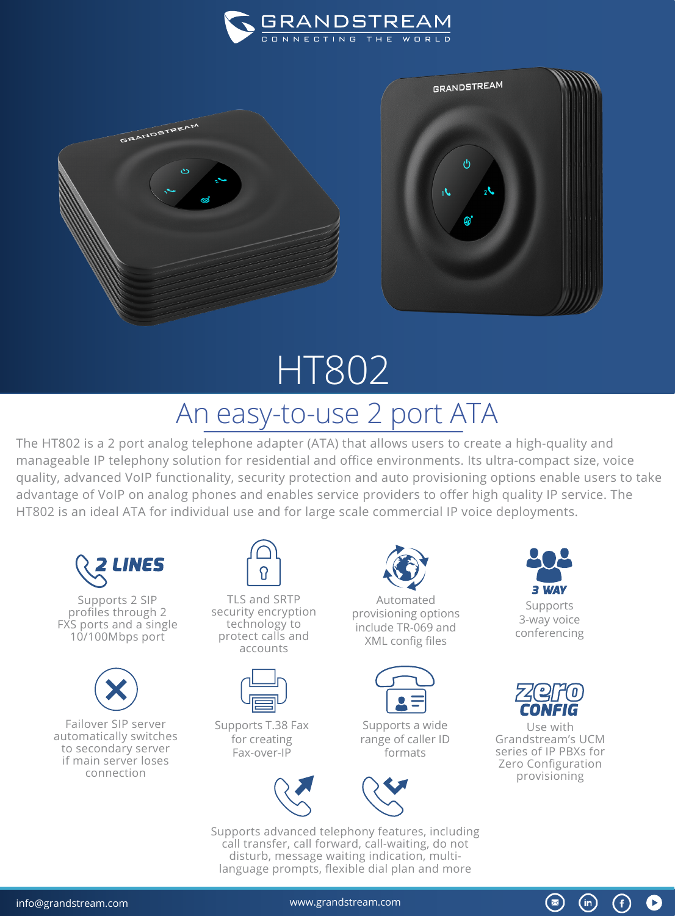



## HT802 An easy-to-use 2 port ATA

The HT802 is a 2 port analog telephone adapter (ATA) that allows users to create a high-quality and manageable IP telephony solution for residential and office environments. Its ultra-compact size, voice quality, advanced VoIP functionality, security protection and auto provisioning options enable users to take advantage of VoIP on analog phones and enables service providers to offer high quality IP service. The HT802 is an ideal ATA for individual use and for large scale commercial IP voice deployments.



Supports 2 SIP profiles through 2 FXS ports and a single 10/100Mbps port



Failover SIP server automatically switches to secondary server if main server loses connection



TLS and SRTP security encryption technology to protect calls and accounts



Supports T.38 Fax for creating Fax-over-IP



Automated provisioning options include TR-069 and XML config files



Supports a wide range of caller ID formats



Supports advanced telephony features, including call transfer, call forward, call-waiting, do not disturb, message waiting indication, multilanguage prompts, flexible dial plan and more



Supports 3-way voice conferencing



Use with Grandstream's UCM series of IP PBXs for Zero Configuration provisioning

 $\circledast$ 

 $(m)$ 

G)